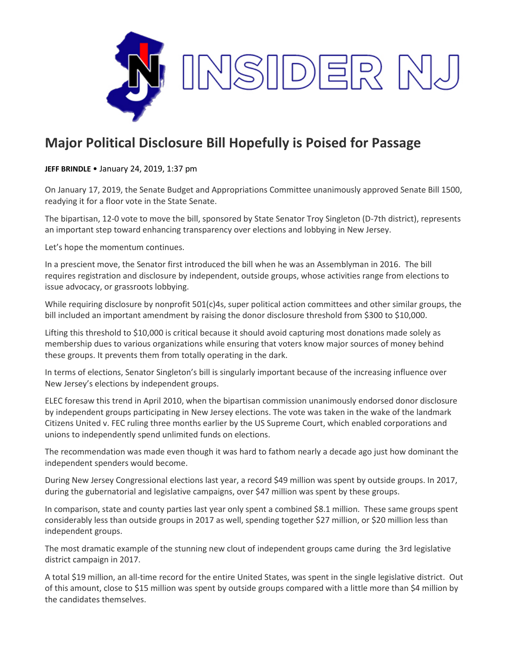

## **Major Political Disclosure Bill Hopefully is Poised for Passage**

**JEFF BRINDLE** • January 24, 2019, 1:37 pm

On January 17, 2019, the Senate Budget and Appropriations Committee unanimously approved Senate Bill 1500, readying it for a floor vote in the State Senate.

The bipartisan, 12-0 vote to move the bill, sponsored by State Senator Troy Singleton (D-7th district), represents an important step toward enhancing transparency over elections and lobbying in New Jersey.

Let's hope the momentum continues.

In a prescient move, the Senator first introduced the bill when he was an Assemblyman in 2016. The bill requires registration and disclosure by independent, outside groups, whose activities range from elections to issue advocacy, or grassroots lobbying.

While requiring disclosure by nonprofit  $501(c)4s$ , super political action committees and other similar groups, the bill included an important amendment by raising the donor disclosure threshold from \$300 to \$10,000.

Lifting this threshold to \$10,000 is critical because it should avoid capturing most donations made solely as membership dues to various organizations while ensuring that voters know major sources of money behind these groups. It prevents them from totally operating in the dark.

In terms of elections, Senator Singleton's bill is singularly important because of the increasing influence over New Jersey's elections by independent groups.

ELEC foresaw this trend in April 2010, when the bipartisan commission unanimously endorsed donor disclosure by independent groups participating in New Jersey elections. The vote was taken in the wake of the landmark Citizens United v. FEC ruling three months earlier by the US Supreme Court, which enabled corporations and unions to independently spend unlimited funds on elections.

The recommendation was made even though it was hard to fathom nearly a decade ago just how dominant the independent spenders would become.

During New Jersey Congressional elections last year, a record \$49 million was spent by outside groups. In 2017, during the gubernatorial and legislative campaigns, over \$47 million was spent by these groups.

In comparison, state and county parties last year only spent a combined \$8.1 million. These same groups spent considerably less than outside groups in 2017 as well, spending together \$27 million, or \$20 million less than independent groups.

The most dramatic example of the stunning new clout of independent groups came during the 3rd legislative district campaign in 2017.

A total \$19 million, an all-time record for the entire United States, was spent in the single legislative district. Out of this amount, close to \$15 million was spent by outside groups compared with a little more than \$4 million by the candidates themselves.